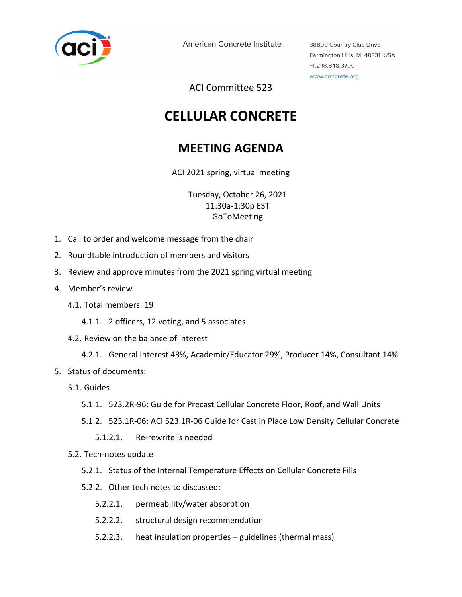

American Concrete Institute

38800 Country Club Drive Farmington Hills, MI 48331 USA +1.248.848.3700 www.concrete.org

ACI Committee 523

## **CELLULAR CONCRETE**

## **MEETING AGENDA**

ACI 2021 spring, virtual meeting

Tuesday, October 26, 2021 11:30a-1:30p EST GoToMeeting

- 1. Call to order and welcome message from the chair
- 2. Roundtable introduction of members and visitors
- 3. Review and approve minutes from the 2021 spring virtual meeting
- 4. Member's review
	- 4.1. Total members: 19
		- 4.1.1. 2 officers, 12 voting, and 5 associates
	- 4.2. Review on the balance of interest
		- 4.2.1. General Interest 43%, Academic/Educator 29%, Producer 14%, Consultant 14%
- 5. Status of documents:
	- 5.1. Guides
		- 5.1.1. 523.2R-96: Guide for Precast Cellular Concrete Floor, Roof, and Wall Units
		- 5.1.2. 523.1R-06: ACI 523.1R-06 Guide for Cast in Place Low Density Cellular Concrete
			- 5.1.2.1. Re-rewrite is needed
	- 5.2. Tech-notes update
		- 5.2.1. Status of the Internal Temperature Effects on Cellular Concrete Fills
		- 5.2.2. Other tech notes to discussed:
			- 5.2.2.1. permeability/water absorption
			- 5.2.2.2. structural design recommendation
			- 5.2.2.3. heat insulation properties guidelines (thermal mass)